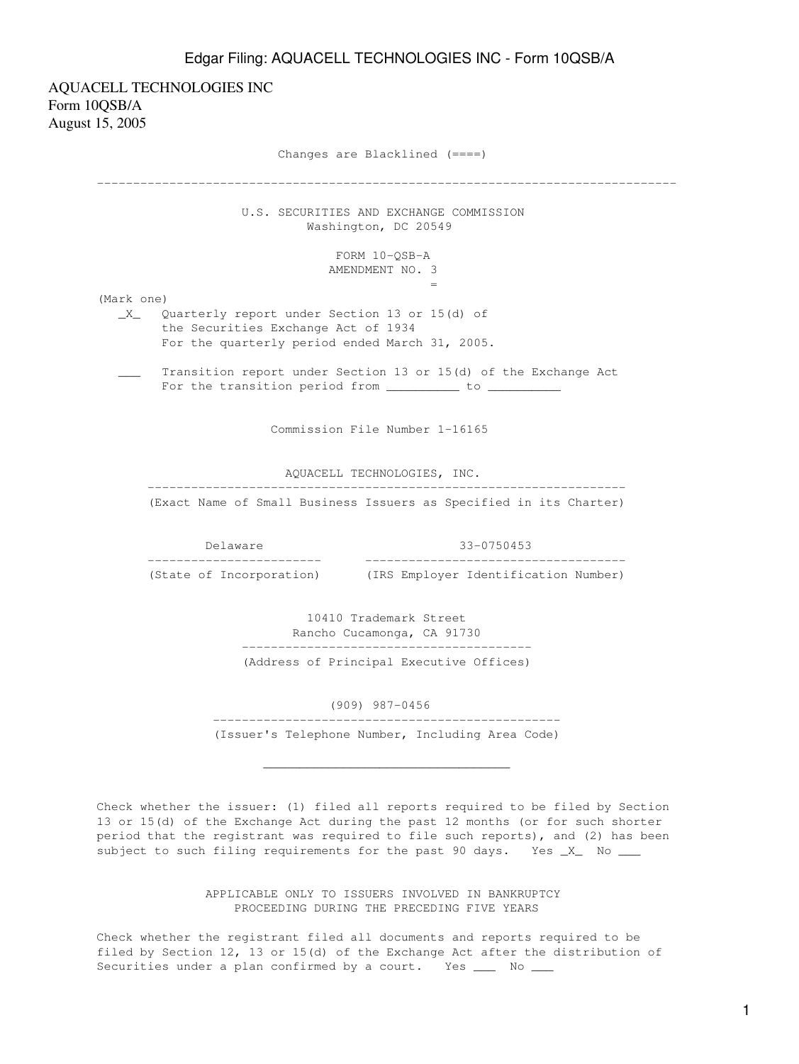AQUACELL TECHNOLOGIES INC Form 10QSB/A August 15, 2005

> Changes are Blacklined (====) -------------------------------------------------------------------------------- U.S. SECURITIES AND EXCHANGE COMMISSION Washington, DC 20549 FORM 10-QSB-A AMENDMENT NO. 3  $=$   $\frac{1}{2}$   $\frac{1}{2}$   $\frac{1}{2}$   $\frac{1}{2}$   $\frac{1}{2}$   $\frac{1}{2}$   $\frac{1}{2}$   $\frac{1}{2}$   $\frac{1}{2}$   $\frac{1}{2}$   $\frac{1}{2}$   $\frac{1}{2}$   $\frac{1}{2}$   $\frac{1}{2}$   $\frac{1}{2}$   $\frac{1}{2}$   $\frac{1}{2}$   $\frac{1}{2}$   $\frac{1}{2}$   $\frac{1}{2}$   $\frac{1}{2}$   $\frac{1}{2$ (Mark one) \_X\_ Quarterly report under Section 13 or 15(d) of the Securities Exchange Act of 1934 For the quarterly period ended March 31, 2005. \_\_\_ Transition report under Section 13 or 15(d) of the Exchange Act For the transition period from \_\_\_\_\_\_\_\_\_\_ to \_\_\_\_\_\_\_\_\_ Commission File Number 1-16165 AQUACELL TECHNOLOGIES, INC. ------------------------------------------------------------------ (Exact Name of Small Business Issuers as Specified in its Charter) Delaware 33-0750453 ------------------------ ------------------------------------ (IRS Employer Identification Number) 10410 Trademark Street Rancho Cucamonga, CA 91730 ---------------------------------------- (Address of Principal Executive Offices) (909) 987-0456 ------------------------------------------------ (Issuer's Telephone Number, Including Area Code)  $\overline{\phantom{a}}$  ,  $\overline{\phantom{a}}$  ,  $\overline{\phantom{a}}$  ,  $\overline{\phantom{a}}$  ,  $\overline{\phantom{a}}$  ,  $\overline{\phantom{a}}$  ,  $\overline{\phantom{a}}$  ,  $\overline{\phantom{a}}$  ,  $\overline{\phantom{a}}$  ,  $\overline{\phantom{a}}$  ,  $\overline{\phantom{a}}$  ,  $\overline{\phantom{a}}$  ,  $\overline{\phantom{a}}$  ,  $\overline{\phantom{a}}$  ,  $\overline{\phantom{a}}$  ,  $\overline{\phantom{a}}$ Check whether the issuer: (1) filed all reports required to be filed by Section 13 or 15(d) of the Exchange Act during the past 12 months (or for such shorter period that the registrant was required to file such reports), and (2) has been

> > APPLICABLE ONLY TO ISSUERS INVOLVED IN BANKRUPTCY PROCEEDING DURING THE PRECEDING FIVE YEARS

subject to such filing requirements for the past 90 days. Yes \_X\_ No \_\_\_

Check whether the registrant filed all documents and reports required to be filed by Section 12, 13 or 15(d) of the Exchange Act after the distribution of Securities under a plan confirmed by a court. Yes \_\_\_ No \_\_\_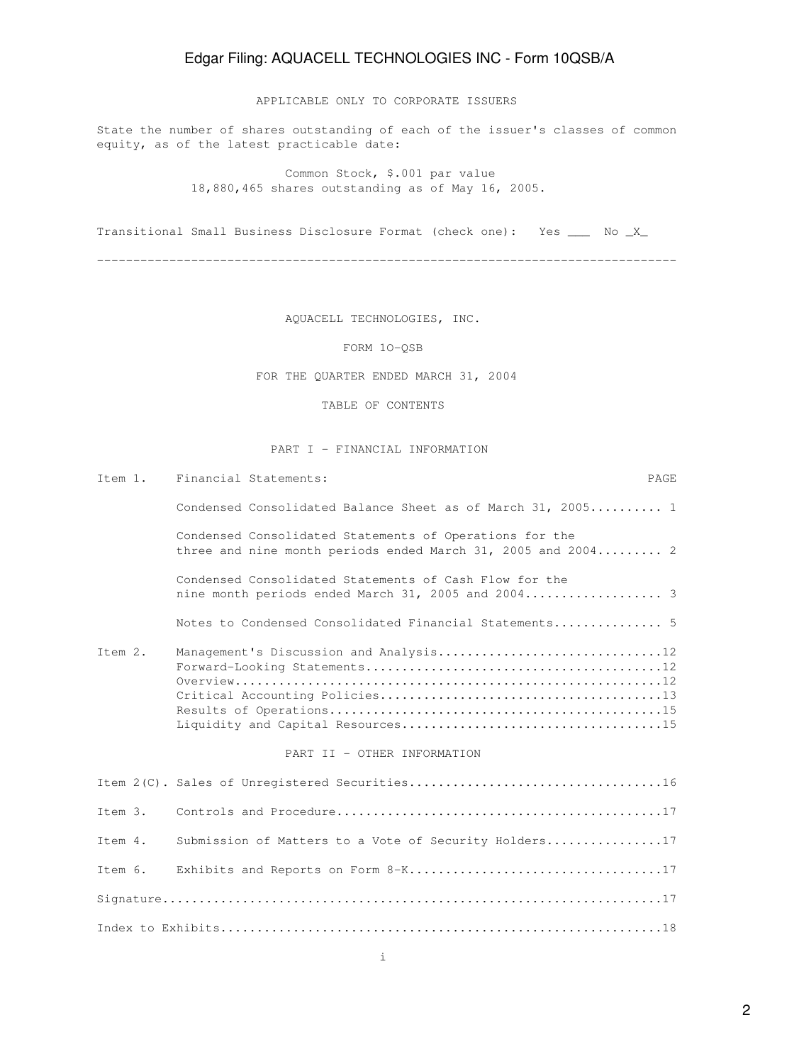APPLICABLE ONLY TO CORPORATE ISSUERS

State the number of shares outstanding of each of the issuer's classes of common equity, as of the latest practicable date:

> Common Stock, \$.001 par value 18,880,465 shares outstanding as of May 16, 2005.

Transitional Small Business Disclosure Format (check one): Yes \_\_\_ No \_X\_

--------------------------------------------------------------------------------

AQUACELL TECHNOLOGIES, INC.

FORM 1O-QSB

FOR THE QUARTER ENDED MARCH 31, 2004

TABLE OF CONTENTS

### PART I - FINANCIAL INFORMATION

| Item 1.      | Financial Statements:                                                                                                   | PAGE |
|--------------|-------------------------------------------------------------------------------------------------------------------------|------|
|              | Condensed Consolidated Balance Sheet as of March 31, 2005 1                                                             |      |
|              | Condensed Consolidated Statements of Operations for the<br>three and nine month periods ended March 31, 2005 and 2004 2 |      |
|              | Condensed Consolidated Statements of Cash Flow for the<br>nine month periods ended March 31, 2005 and 2004 3            |      |
|              | Notes to Condensed Consolidated Financial Statements 5                                                                  |      |
| $T$ tem $2.$ | PART II - OTHER INFORMATION                                                                                             |      |
|              |                                                                                                                         |      |
| $T$ tem $3.$ |                                                                                                                         |      |
| Item 4.      | Submission of Matters to a Vote of Security Holders17                                                                   |      |
| Item 6.      |                                                                                                                         |      |
|              |                                                                                                                         |      |
|              |                                                                                                                         |      |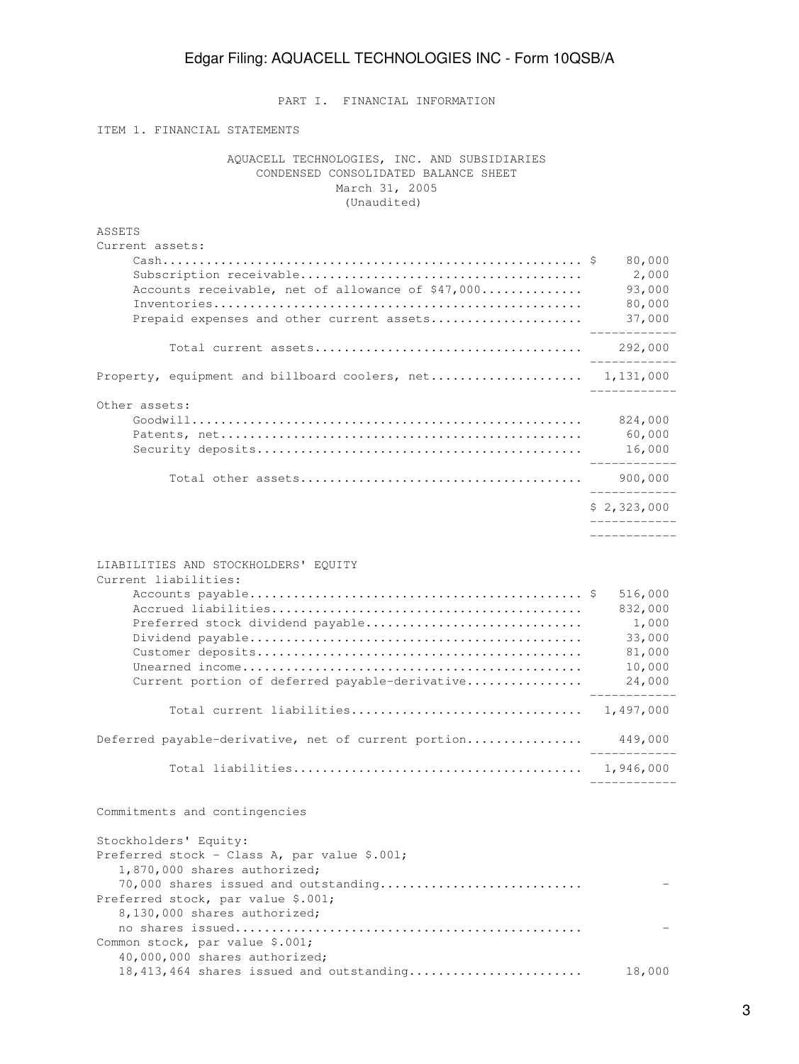PART I. FINANCIAL INFORMATION

ITEM 1. FINANCIAL STATEMENTS

Common stock, par value \$.001;

 AQUACELL TECHNOLOGIES, INC. AND SUBSIDIARIES CONDENSED CONSOLIDATED BALANCE SHEET March 31, 2005 (Unaudited)

| ASSETS<br>Current assets:                                                                                                                  |                                                                     |
|--------------------------------------------------------------------------------------------------------------------------------------------|---------------------------------------------------------------------|
| Accounts receivable, net of allowance of \$47,000                                                                                          | 80,000<br>2,000<br>93,000                                           |
| Prepaid expenses and other current assets                                                                                                  | 80,000<br>37,000                                                    |
|                                                                                                                                            | 292,000<br>-----------                                              |
| Property, equipment and billboard coolers, net 1,131,000                                                                                   |                                                                     |
| Other assets:                                                                                                                              | 824,000<br>60,000<br>16,000                                         |
|                                                                                                                                            | 900,000<br>. _ _ _ _ _ _ _ _ _ _ _                                  |
|                                                                                                                                            | \$2,323,000<br>__________                                           |
|                                                                                                                                            | -------------                                                       |
| LIABILITIES AND STOCKHOLDERS' EQUITY<br>Current liabilities:                                                                               |                                                                     |
| Preferred stock dividend payable<br>Current portion of deferred payable-derivative                                                         | 516,000<br>832,000<br>1,000<br>33,000<br>81,000<br>10,000<br>24,000 |
|                                                                                                                                            |                                                                     |
| Deferred payable-derivative, net of current portion                                                                                        | 449,000                                                             |
|                                                                                                                                            |                                                                     |
| Commitments and contingencies                                                                                                              |                                                                     |
| Stockholders' Equity:<br>Preferred stock - Class A, par value \$.001;                                                                      |                                                                     |
| 1,870,000 shares authorized;<br>70,000 shares issued and outstanding<br>Preferred stock, par value \$.001;<br>8,130,000 shares authorized; |                                                                     |
|                                                                                                                                            |                                                                     |

 40,000,000 shares authorized; 18,413,464 shares issued and outstanding........................ 18,000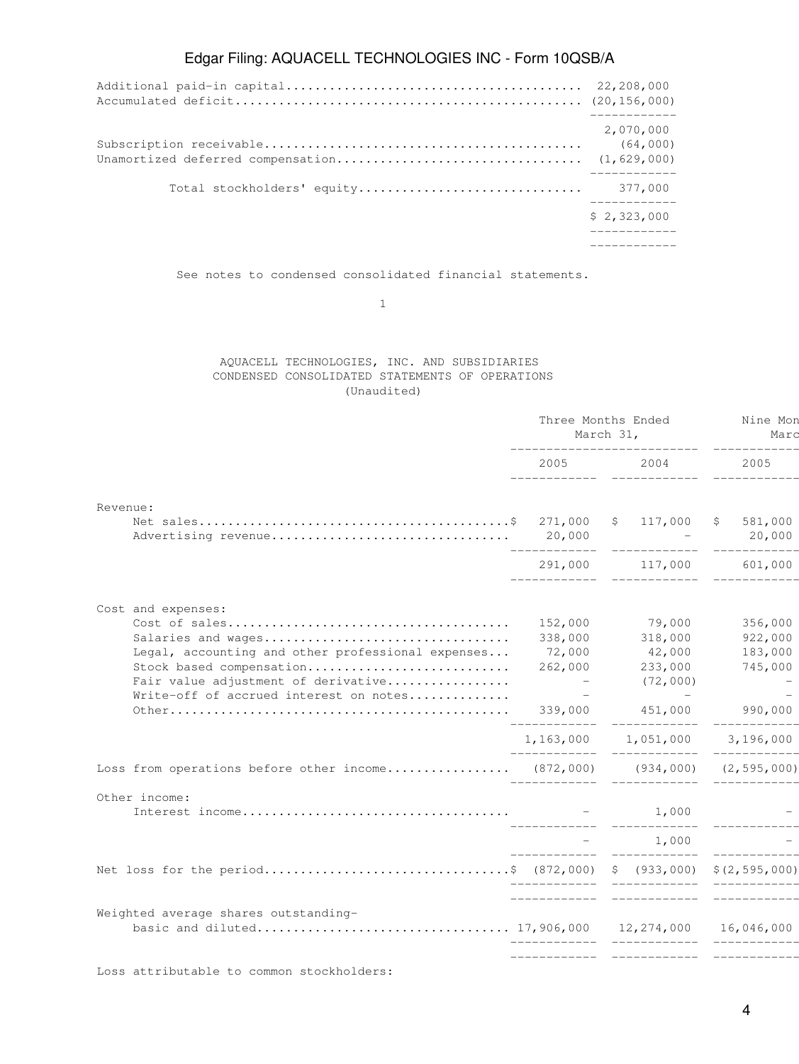| 2,070,000<br>(64,000)       |
|-----------------------------|
|                             |
| \$2,323,000<br>------------ |
| -------------               |

See notes to condensed consolidated financial statements.

1

### AQUACELL TECHNOLOGIES, INC. AND SUBSIDIARIES CONDENSED CONSOLIDATED STATEMENTS OF OPERATIONS (Unaudited)

|                                                                               | Three Months Ended<br>March 31,<br>------------------------- |                                                                                                                                                                                                                                 | Nine Mon<br>Marc    |  |
|-------------------------------------------------------------------------------|--------------------------------------------------------------|---------------------------------------------------------------------------------------------------------------------------------------------------------------------------------------------------------------------------------|---------------------|--|
|                                                                               | 2005 700                                                     | 2004 — 2004 — 2005 — 2006 — 2006 — 2006 — 2006 — 2006 — 2006 — 2006 — 2006 — 2006 — 2006 — 2006 — 2006 — 2006 — 2006 — 2006 — 2006 — 2006 — 2006 — 2006 — 2006 — 2006 — 2006 — 2006 — 2006 — 2006 — 2006 — 2006 — 2006 — 2006 — | 2005                |  |
| Revenue:                                                                      |                                                              |                                                                                                                                                                                                                                 |                     |  |
|                                                                               |                                                              |                                                                                                                                                                                                                                 | \$581,000<br>20,000 |  |
|                                                                               |                                                              | 291,000 117,000 601,000                                                                                                                                                                                                         |                     |  |
| Cost and expenses:                                                            |                                                              |                                                                                                                                                                                                                                 |                     |  |
|                                                                               |                                                              | 152,000 79,000                                                                                                                                                                                                                  | 356,000             |  |
| Salaries and wages                                                            |                                                              | 338,000 318,000                                                                                                                                                                                                                 | 922,000             |  |
| Legal, accounting and other professional expenses                             | 72,000                                                       | 42,000                                                                                                                                                                                                                          | 183,000             |  |
| Stock based compensation                                                      | $\mathcal{L}_{\rm{max}}$ and $\mathcal{L}_{\rm{max}}$        | 262,000 233,000                                                                                                                                                                                                                 | 745,000             |  |
| Fair value adjustment of derivative<br>Write-off of accrued interest on notes |                                                              | (72,000)                                                                                                                                                                                                                        |                     |  |
|                                                                               |                                                              | 339,000 451,000                                                                                                                                                                                                                 | 990,000             |  |
|                                                                               |                                                              | 1,163,000 1,051,000 3,196,000                                                                                                                                                                                                   |                     |  |
| Loss from operations before other income (872,000) (934,000) (2,595,000)      |                                                              |                                                                                                                                                                                                                                 |                     |  |
| Other income:                                                                 |                                                              |                                                                                                                                                                                                                                 |                     |  |
|                                                                               |                                                              |                                                                                                                                                                                                                                 |                     |  |
|                                                                               |                                                              | $-1,000$                                                                                                                                                                                                                        | ____________        |  |
| Net loss for the period\$ (872,000) \$ (933,000) \$(2,595,000)                |                                                              |                                                                                                                                                                                                                                 |                     |  |
| Weighted average shares outstanding-                                          |                                                              | <u> 2000 - Alexandria Marchetter, martin et</u>                                                                                                                                                                                 |                     |  |
|                                                                               |                                                              |                                                                                                                                                                                                                                 |                     |  |
|                                                                               |                                                              |                                                                                                                                                                                                                                 | ____________        |  |

Loss attributable to common stockholders: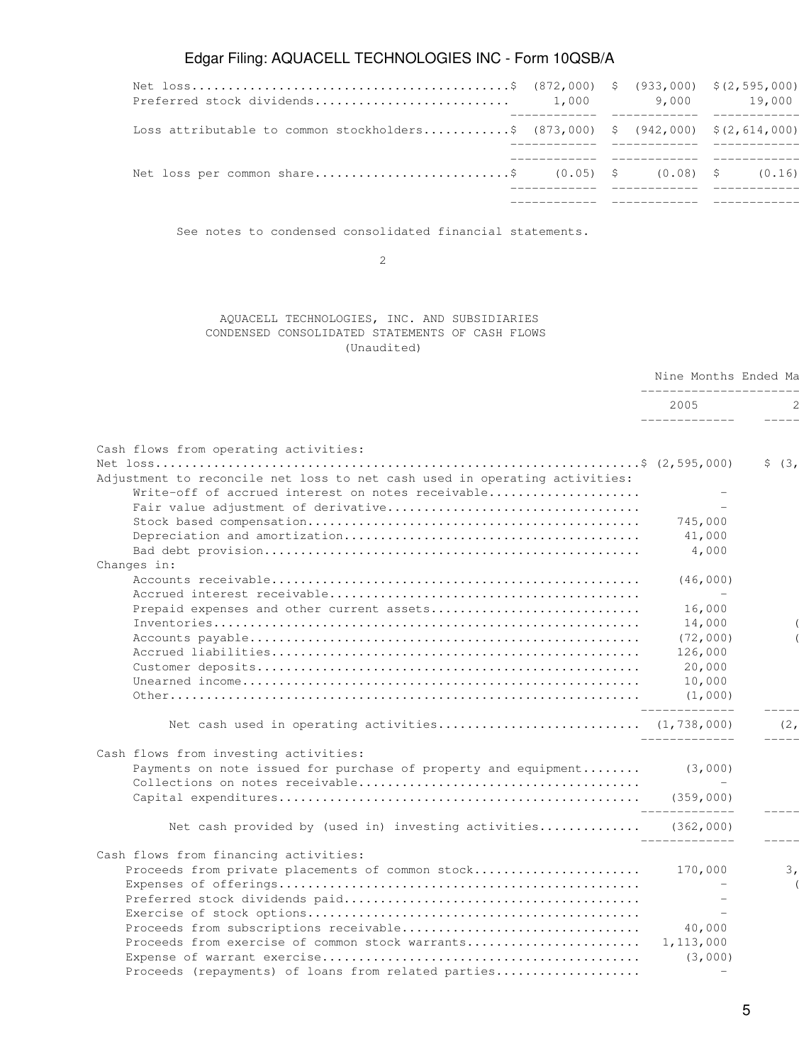|                                                                                 |  |  | 9,000 19,000 |
|---------------------------------------------------------------------------------|--|--|--------------|
| Loss attributable to common stockholders\$ (873,000) \$ (942,000) \$(2,614,000) |  |  |              |
| Net loss per common share\$ $(0.05)$ \$ $(0.08)$ \$ $(0.16)$                    |  |  |              |
|                                                                                 |  |  |              |

See notes to condensed consolidated financial statements.

2

## AQUACELL TECHNOLOGIES, INC. AND SUBSIDIARIES CONDENSED CONSOLIDATED STATEMENTS OF CASH FLOWS (Unaudited)

|                                                                            | Nine Months Ended Ma<br>_______________________ |              |
|----------------------------------------------------------------------------|-------------------------------------------------|--------------|
|                                                                            | 2005<br>______________                          |              |
|                                                                            |                                                 |              |
| Cash flows from operating activities:                                      |                                                 |              |
|                                                                            |                                                 | \$  (3,      |
| Adjustment to reconcile net loss to net cash used in operating activities: |                                                 |              |
| Write-off of accrued interest on notes receivable                          |                                                 |              |
|                                                                            |                                                 |              |
|                                                                            | 745,000                                         |              |
|                                                                            | 41,000                                          |              |
|                                                                            | 4,000                                           |              |
| Changes in:                                                                |                                                 |              |
|                                                                            | (46,000)                                        |              |
|                                                                            |                                                 |              |
| Prepaid expenses and other current assets                                  | 16,000                                          |              |
|                                                                            | 14,000                                          |              |
|                                                                            | (72,000)                                        |              |
|                                                                            | 126,000                                         |              |
|                                                                            | 20,000                                          |              |
|                                                                            | 10,000                                          |              |
|                                                                            | (1,000)<br>______________                       | $--- - -$    |
| Net cash used in operating activities (1,738,000)                          | ______________                                  | (2,<br>----- |
| Cash flows from investing activities:                                      |                                                 |              |
| Payments on note issued for purchase of property and equipment             | (3,000)                                         |              |
|                                                                            |                                                 |              |
|                                                                            |                                                 |              |
| Net cash provided by (used in) investing activities (362,000)              |                                                 |              |
| Cash flows from financing activities:                                      | _____________                                   |              |
| Proceeds from private placements of common stock 170,000                   |                                                 | 3,           |
|                                                                            |                                                 |              |
|                                                                            |                                                 |              |
|                                                                            |                                                 |              |
|                                                                            | 40,000                                          |              |
| Proceeds from exercise of common stock warrants                            | 1,113,000                                       |              |
|                                                                            | (3,000)                                         |              |
| Proceeds (repayments) of loans from related parties                        |                                                 |              |
|                                                                            |                                                 |              |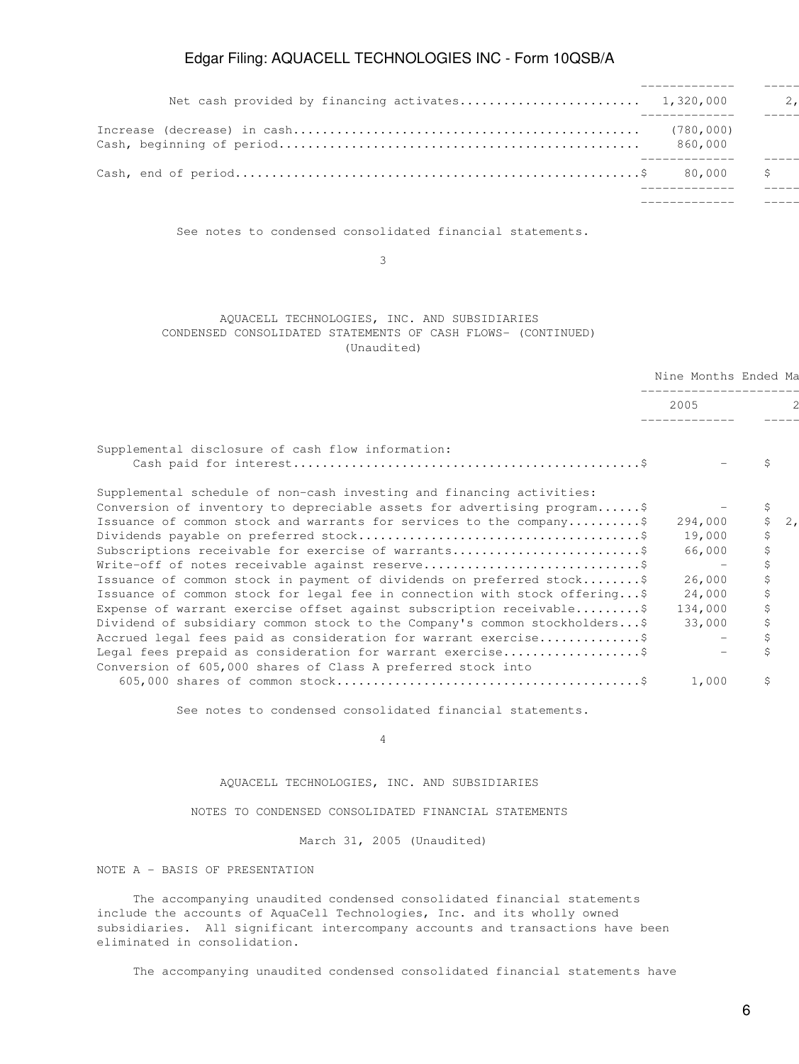|                       | 2. |
|-----------------------|----|
| (780, 000)<br>860,000 |    |
|                       | S. |
|                       |    |

See notes to condensed consolidated financial statements.

 $\sim$  3

### AQUACELL TECHNOLOGIES, INC. AND SUBSIDIARIES CONDENSED CONSOLIDATED STATEMENTS OF CASH FLOWS- (CONTINUED) (Unaudited)

|                                                                                                                            | Nine Months Ended Ma |    |    |
|----------------------------------------------------------------------------------------------------------------------------|----------------------|----|----|
|                                                                                                                            | 2005                 |    |    |
|                                                                                                                            |                      |    |    |
| Supplemental disclosure of cash flow information:                                                                          |                      |    |    |
|                                                                                                                            |                      |    |    |
| Supplemental schedule of non-cash investing and financing activities:                                                      |                      |    |    |
| Conversion of inventory to depreciable assets for advertising program\$                                                    |                      | \$ |    |
| Issuance of common stock and warrants for services to the company\$                                                        | 294,000              | Ŝ. | 2, |
|                                                                                                                            | 19,000               | \$ |    |
| Subscriptions receivable for exercise of warrants                                                                          | 66,000               | \$ |    |
|                                                                                                                            |                      |    |    |
| Issuance of common stock in payment of dividends on preferred stock\$                                                      | 26,000               |    |    |
| Issuance of common stock for legal fee in connection with stock offering\$                                                 | 24,000               | Ŝ. |    |
| Expense of warrant exercise offset against subscription receivable\$                                                       | 134,000              |    |    |
| Dividend of subsidiary common stock to the Company's common stockholders\$                                                 | 33,000               |    |    |
| Accrued legal fees paid as consideration for warrant exercise\$                                                            |                      |    |    |
| Legal fees prepaid as consideration for warrant exercise\$<br>Conversion of 605,000 shares of Class A preferred stock into |                      |    |    |
|                                                                                                                            | 1,000                | S  |    |

See notes to condensed consolidated financial statements.

4

AQUACELL TECHNOLOGIES, INC. AND SUBSIDIARIES

NOTES TO CONDENSED CONSOLIDATED FINANCIAL STATEMENTS

March 31, 2005 (Unaudited)

NOTE A - BASIS OF PRESENTATION

 The accompanying unaudited condensed consolidated financial statements include the accounts of AquaCell Technologies, Inc. and its wholly owned subsidiaries. All significant intercompany accounts and transactions have been eliminated in consolidation.

The accompanying unaudited condensed consolidated financial statements have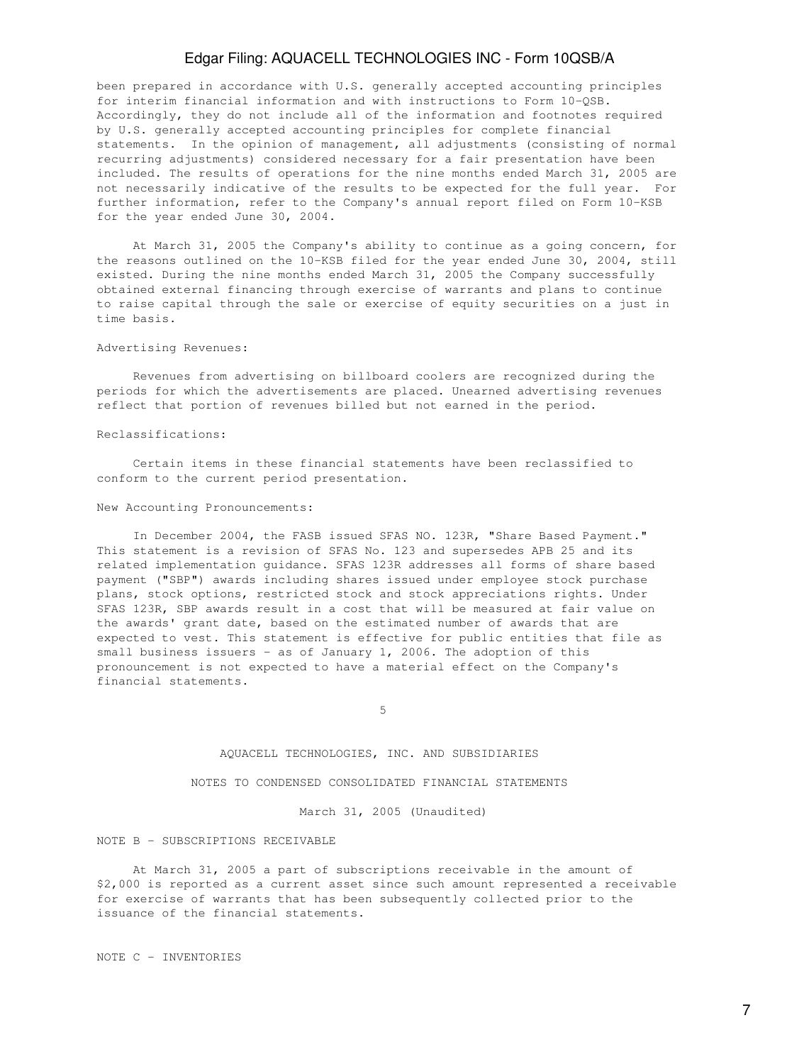been prepared in accordance with U.S. generally accepted accounting principles for interim financial information and with instructions to Form 10-QSB. Accordingly, they do not include all of the information and footnotes required by U.S. generally accepted accounting principles for complete financial statements. In the opinion of management, all adjustments (consisting of normal recurring adjustments) considered necessary for a fair presentation have been included. The results of operations for the nine months ended March 31, 2005 are not necessarily indicative of the results to be expected for the full year. For further information, refer to the Company's annual report filed on Form 10-KSB for the year ended June 30, 2004.

 At March 31, 2005 the Company's ability to continue as a going concern, for the reasons outlined on the 10-KSB filed for the year ended June 30, 2004, still existed. During the nine months ended March 31, 2005 the Company successfully obtained external financing through exercise of warrants and plans to continue to raise capital through the sale or exercise of equity securities on a just in time basis.

#### Advertising Revenues:

 Revenues from advertising on billboard coolers are recognized during the periods for which the advertisements are placed. Unearned advertising revenues reflect that portion of revenues billed but not earned in the period.

### Reclassifications:

 Certain items in these financial statements have been reclassified to conform to the current period presentation.

#### New Accounting Pronouncements:

 In December 2004, the FASB issued SFAS NO. 123R, "Share Based Payment." This statement is a revision of SFAS No. 123 and supersedes APB 25 and its related implementation guidance. SFAS 123R addresses all forms of share based payment ("SBP") awards including shares issued under employee stock purchase plans, stock options, restricted stock and stock appreciations rights. Under SFAS 123R, SBP awards result in a cost that will be measured at fair value on the awards' grant date, based on the estimated number of awards that are expected to vest. This statement is effective for public entities that file as small business issuers - as of January 1, 2006. The adoption of this pronouncement is not expected to have a material effect on the Company's financial statements.

 $5<sub>5</sub>$ 

### AQUACELL TECHNOLOGIES, INC. AND SUBSIDIARIES

NOTES TO CONDENSED CONSOLIDATED FINANCIAL STATEMENTS

March 31, 2005 (Unaudited)

### NOTE B - SUBSCRIPTIONS RECEIVABLE

 At March 31, 2005 a part of subscriptions receivable in the amount of \$2,000 is reported as a current asset since such amount represented a receivable for exercise of warrants that has been subsequently collected prior to the issuance of the financial statements.

NOTE C - INVENTORIES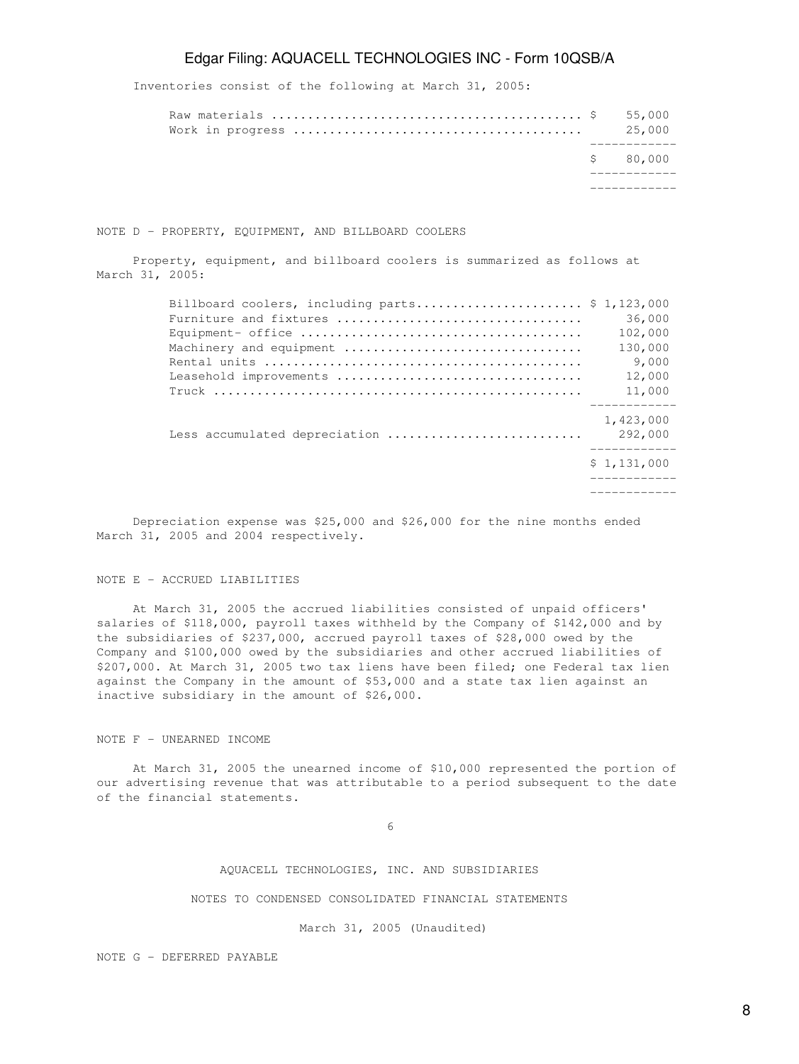Inventories consist of the following at March 31, 2005:

|  | \$ 80,000 |
|--|-----------|
|  | 25,000    |

NOTE D - PROPERTY, EQUIPMENT, AND BILLBOARD COOLERS

 Property, equipment, and billboard coolers is summarized as follows at March 31, 2005:

| Billboard coolers, including parts $$1,123,000$                                                 |                      |
|-------------------------------------------------------------------------------------------------|----------------------|
|                                                                                                 | 36,000               |
| Equipment- office $\dots\dots\dots\dots\dots\dots\dots\dots\dots\dots\dots\dots\dots\dots\dots$ | 102,000              |
| Machinery and equipment                                                                         | 130,000              |
|                                                                                                 | 9,000                |
| Leasehold improvements                                                                          | 12,000               |
|                                                                                                 | 11,000               |
| Less accumulated depreciation                                                                   | 1,423,000<br>292,000 |
|                                                                                                 | \$1,131,000          |
|                                                                                                 |                      |

 Depreciation expense was \$25,000 and \$26,000 for the nine months ended March 31, 2005 and 2004 respectively.

### NOTE E - ACCRUED LIABILITIES

 At March 31, 2005 the accrued liabilities consisted of unpaid officers' salaries of \$118,000, payroll taxes withheld by the Company of \$142,000 and by the subsidiaries of \$237,000, accrued payroll taxes of \$28,000 owed by the Company and \$100,000 owed by the subsidiaries and other accrued liabilities of \$207,000. At March 31, 2005 two tax liens have been filed; one Federal tax lien against the Company in the amount of \$53,000 and a state tax lien against an inactive subsidiary in the amount of \$26,000.

### NOTE F - UNEARNED INCOME

 At March 31, 2005 the unearned income of \$10,000 represented the portion of our advertising revenue that was attributable to a period subsequent to the date of the financial statements.

 $\sim$  6

AQUACELL TECHNOLOGIES, INC. AND SUBSIDIARIES

NOTES TO CONDENSED CONSOLIDATED FINANCIAL STATEMENTS

March 31, 2005 (Unaudited)

NOTE G - DEFERRED PAYABLE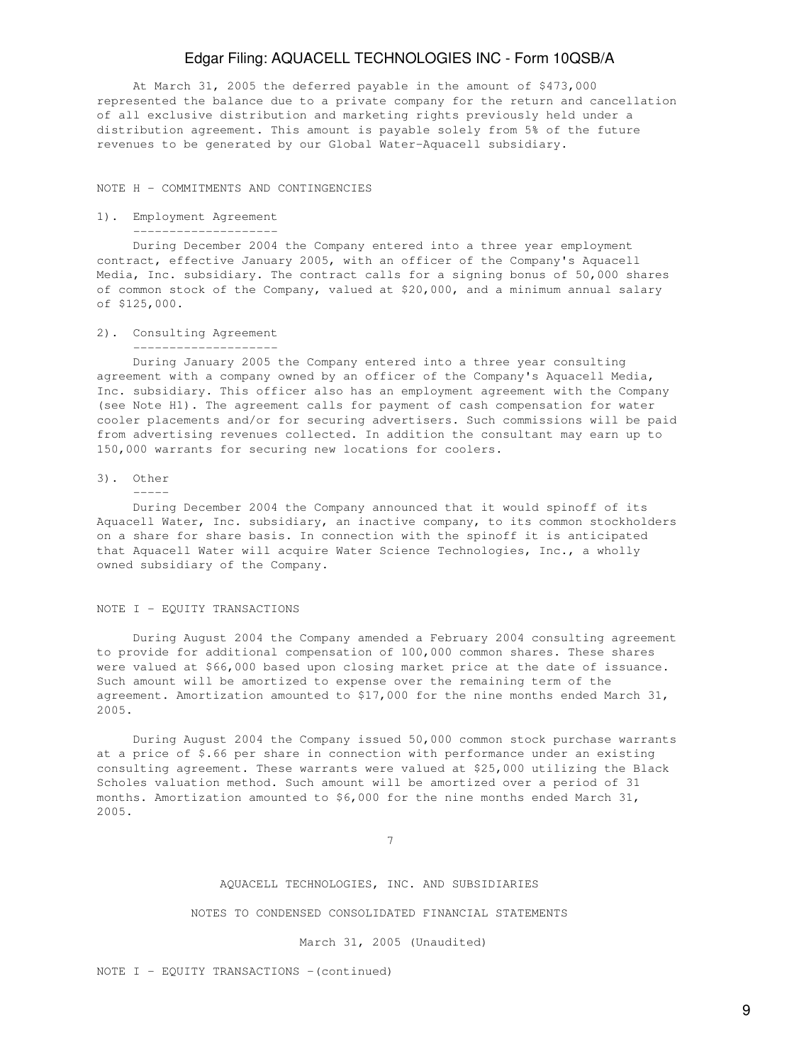At March 31, 2005 the deferred payable in the amount of \$473,000 represented the balance due to a private company for the return and cancellation of all exclusive distribution and marketing rights previously held under a distribution agreement. This amount is payable solely from 5% of the future revenues to be generated by our Global Water-Aquacell subsidiary.

NOTE H - COMMITMENTS AND CONTINGENCIES

### 1). Employment Agreement --------------------

 During December 2004 the Company entered into a three year employment contract, effective January 2005, with an officer of the Company's Aquacell Media, Inc. subsidiary. The contract calls for a signing bonus of 50,000 shares of common stock of the Company, valued at \$20,000, and a minimum annual salary of \$125,000.

### 2). Consulting Agreement

--------------------

 During January 2005 the Company entered into a three year consulting agreement with a company owned by an officer of the Company's Aquacell Media, Inc. subsidiary. This officer also has an employment agreement with the Company (see Note H1). The agreement calls for payment of cash compensation for water cooler placements and/or for securing advertisers. Such commissions will be paid from advertising revenues collected. In addition the consultant may earn up to 150,000 warrants for securing new locations for coolers.

#### 3). Other

-----

 During December 2004 the Company announced that it would spinoff of its Aquacell Water, Inc. subsidiary, an inactive company, to its common stockholders on a share for share basis. In connection with the spinoff it is anticipated that Aquacell Water will acquire Water Science Technologies, Inc., a wholly owned subsidiary of the Company.

#### NOTE I - EQUITY TRANSACTIONS

 During August 2004 the Company amended a February 2004 consulting agreement to provide for additional compensation of 100,000 common shares. These shares were valued at \$66,000 based upon closing market price at the date of issuance. Such amount will be amortized to expense over the remaining term of the agreement. Amortization amounted to \$17,000 for the nine months ended March 31, 2005.

 During August 2004 the Company issued 50,000 common stock purchase warrants at a price of \$.66 per share in connection with performance under an existing consulting agreement. These warrants were valued at \$25,000 utilizing the Black Scholes valuation method. Such amount will be amortized over a period of 31 months. Amortization amounted to \$6,000 for the nine months ended March 31, 2005.

7

### AQUACELL TECHNOLOGIES, INC. AND SUBSIDIARIES

#### NOTES TO CONDENSED CONSOLIDATED FINANCIAL STATEMENTS

#### March 31, 2005 (Unaudited)

NOTE  $I$  - EQUITY TRANSACTIONS -(continued)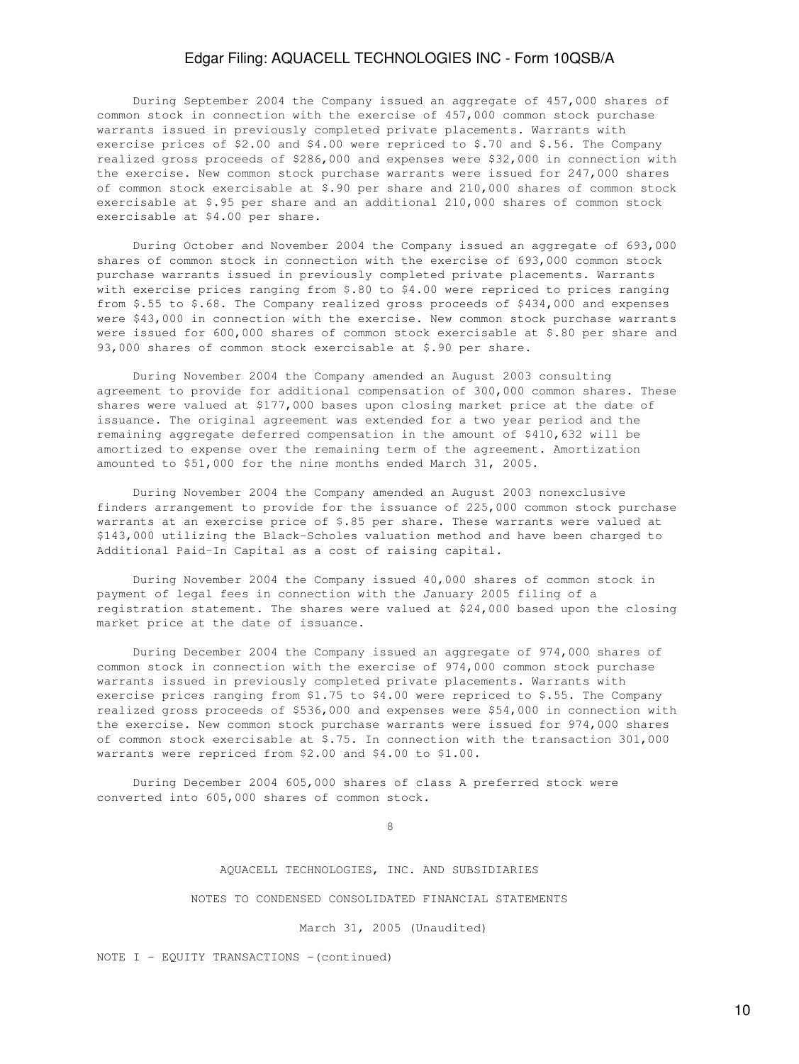During September 2004 the Company issued an aggregate of 457,000 shares of common stock in connection with the exercise of 457,000 common stock purchase warrants issued in previously completed private placements. Warrants with exercise prices of \$2.00 and \$4.00 were repriced to \$.70 and \$.56. The Company realized gross proceeds of \$286,000 and expenses were \$32,000 in connection with the exercise. New common stock purchase warrants were issued for 247,000 shares of common stock exercisable at \$.90 per share and 210,000 shares of common stock exercisable at \$.95 per share and an additional 210,000 shares of common stock exercisable at \$4.00 per share.

 During October and November 2004 the Company issued an aggregate of 693,000 shares of common stock in connection with the exercise of 693,000 common stock purchase warrants issued in previously completed private placements. Warrants with exercise prices ranging from \$.80 to \$4.00 were repriced to prices ranging from \$.55 to \$.68. The Company realized gross proceeds of \$434,000 and expenses were \$43,000 in connection with the exercise. New common stock purchase warrants were issued for 600,000 shares of common stock exercisable at \$.80 per share and 93,000 shares of common stock exercisable at \$.90 per share.

 During November 2004 the Company amended an August 2003 consulting agreement to provide for additional compensation of 300,000 common shares. These shares were valued at \$177,000 bases upon closing market price at the date of issuance. The original agreement was extended for a two year period and the remaining aggregate deferred compensation in the amount of \$410,632 will be amortized to expense over the remaining term of the agreement. Amortization amounted to \$51,000 for the nine months ended March 31, 2005.

 During November 2004 the Company amended an August 2003 nonexclusive finders arrangement to provide for the issuance of 225,000 common stock purchase warrants at an exercise price of \$.85 per share. These warrants were valued at \$143,000 utilizing the Black-Scholes valuation method and have been charged to Additional Paid-In Capital as a cost of raising capital.

 During November 2004 the Company issued 40,000 shares of common stock in payment of legal fees in connection with the January 2005 filing of a registration statement. The shares were valued at \$24,000 based upon the closing market price at the date of issuance.

 During December 2004 the Company issued an aggregate of 974,000 shares of common stock in connection with the exercise of 974,000 common stock purchase warrants issued in previously completed private placements. Warrants with exercise prices ranging from \$1.75 to \$4.00 were repriced to \$.55. The Company realized gross proceeds of \$536,000 and expenses were \$54,000 in connection with the exercise. New common stock purchase warrants were issued for 974,000 shares of common stock exercisable at \$.75. In connection with the transaction 301,000 warrants were repriced from \$2.00 and \$4.00 to \$1.00.

 During December 2004 605,000 shares of class A preferred stock were converted into 605,000 shares of common stock.

en andere de la provincia de la provincia de la provincia de la provincia de la provincia de la provincia del<br>En la provincia de la provincia de la provincia de la provincia de la provincia de la provincia de la provinci

AQUACELL TECHNOLOGIES, INC. AND SUBSIDIARIES

NOTES TO CONDENSED CONSOLIDATED FINANCIAL STATEMENTS

March 31, 2005 (Unaudited)

NOTE I - EQUITY TRANSACTIONS - (continued)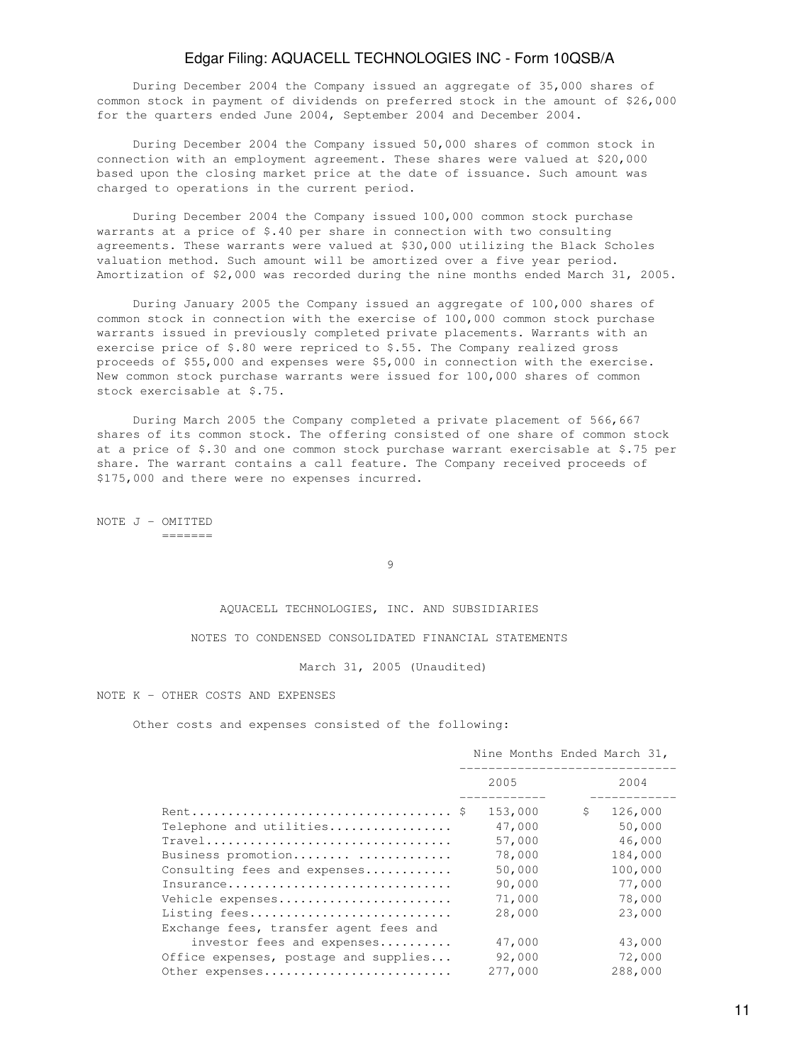During December 2004 the Company issued an aggregate of 35,000 shares of common stock in payment of dividends on preferred stock in the amount of \$26,000 for the quarters ended June 2004, September 2004 and December 2004.

 During December 2004 the Company issued 50,000 shares of common stock in connection with an employment agreement. These shares were valued at \$20,000 based upon the closing market price at the date of issuance. Such amount was charged to operations in the current period.

 During December 2004 the Company issued 100,000 common stock purchase warrants at a price of \$.40 per share in connection with two consulting agreements. These warrants were valued at \$30,000 utilizing the Black Scholes valuation method. Such amount will be amortized over a five year period. Amortization of \$2,000 was recorded during the nine months ended March 31, 2005.

 During January 2005 the Company issued an aggregate of 100,000 shares of common stock in connection with the exercise of 100,000 common stock purchase warrants issued in previously completed private placements. Warrants with an exercise price of \$.80 were repriced to \$.55. The Company realized gross proceeds of \$55,000 and expenses were \$5,000 in connection with the exercise. New common stock purchase warrants were issued for 100,000 shares of common stock exercisable at \$.75.

 During March 2005 the Company completed a private placement of 566,667 shares of its common stock. The offering consisted of one share of common stock at a price of \$.30 and one common stock purchase warrant exercisable at \$.75 per share. The warrant contains a call feature. The Company received proceeds of \$175,000 and there were no expenses incurred.

NOTE J - OMITTED =======

9

AQUACELL TECHNOLOGIES, INC. AND SUBSIDIARIES

NOTES TO CONDENSED CONSOLIDATED FINANCIAL STATEMENTS

March 31, 2005 (Unaudited)

NOTE K - OTHER COSTS AND EXPENSES

Other costs and expenses consisted of the following:

|                                        |         | Nine Months Ended March 31, |
|----------------------------------------|---------|-----------------------------|
|                                        | 2005    | 2004                        |
|                                        | 153,000 | 126,000<br>S.               |
| Telephone and utilities                | 47,000  | 50,000                      |
| Travel                                 | 57,000  | 46,000                      |
| Business promotion                     | 78,000  | 184,000                     |
| Consulting fees and expenses           | 50,000  | 100,000                     |
| Insurance                              | 90,000  | 77,000                      |
| Vehicle expenses                       | 71,000  | 78,000                      |
| Listing fees                           | 28,000  | 23,000                      |
| Exchange fees, transfer agent fees and |         |                             |
| investor fees and expenses             | 47,000  | 43,000                      |
| Office expenses, postage and supplies  | 92,000  | 72,000                      |
| Other expenses                         | 277,000 | 288,000                     |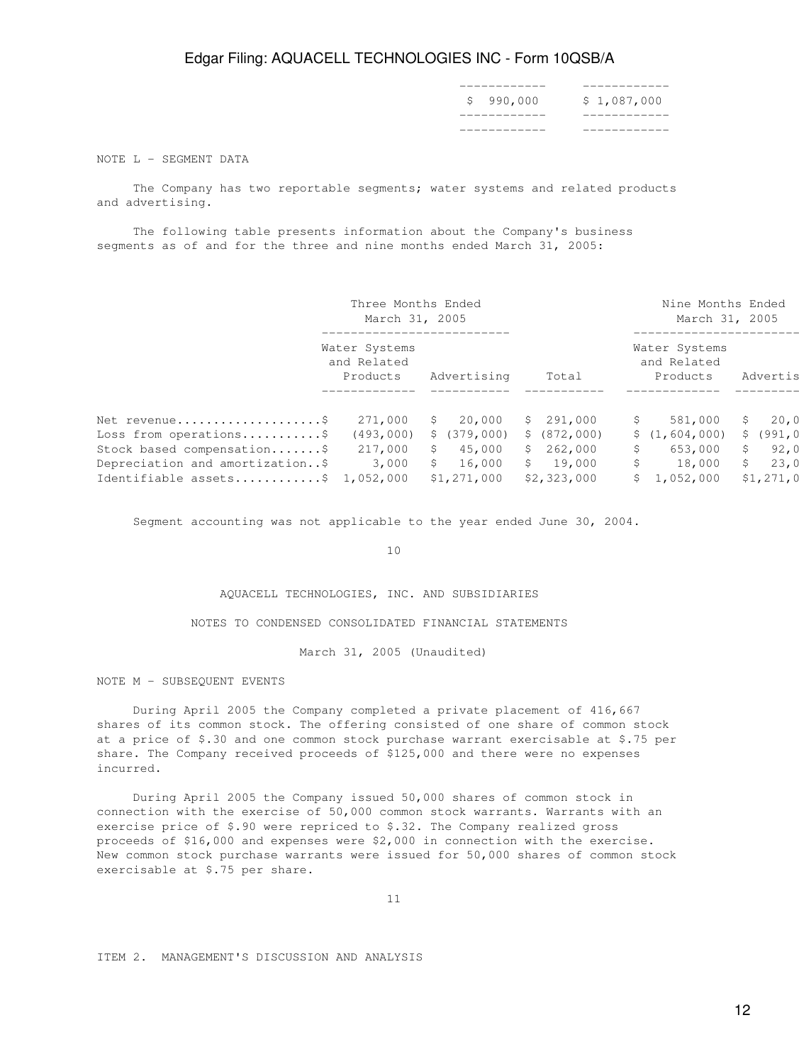| ____________          | ____ |
|-----------------------|------|
| \$990,000 \$1,087,000 |      |
| ___________           |      |
| ____________          |      |

NOTE L - SEGMENT DATA

 The Company has two reportable segments; water systems and related products and advertising.

 The following table presents information about the Company's business segments as of and for the three and nine months ended March 31, 2005:

|                                   | Three Months Ended<br>March 31, 2005     |              |               | Nine Months Ended<br>March 31, 2005      |               |
|-----------------------------------|------------------------------------------|--------------|---------------|------------------------------------------|---------------|
|                                   | Water Systems<br>and Related<br>Products | Advertising  | Total         | Water Systems<br>and Related<br>Products | Advertis      |
|                                   |                                          |              |               |                                          |               |
| Net revenue                       | 271,000                                  | 20,000<br>S  | 291,000<br>S. | 581,000                                  | 20,0<br>S     |
| Loss from operations\$            | (493,000)                                | \$(379,000)  | \$ (872,000)  | \$(1,604,000)                            | (991, 0<br>S. |
| Stock based compensation\$        | 217,000                                  | 45,000<br>S  | 262,000<br>S. | 653,000<br>S                             | 92,0<br>S     |
| Depreciation and amortization\$   | 3,000                                    | 16,000<br>S. | 19,000<br>S.  | 18,000                                   | 23,0<br>S     |
| Identifiable assets\$ $1,052,000$ |                                          | \$1,271,000  | \$2,323,000   | 1,052,000                                | \$1,271,0     |

Segment accounting was not applicable to the year ended June 30, 2004.

10

AQUACELL TECHNOLOGIES, INC. AND SUBSIDIARIES

NOTES TO CONDENSED CONSOLIDATED FINANCIAL STATEMENTS

March 31, 2005 (Unaudited)

NOTE M - SUBSEQUENT EVENTS

 During April 2005 the Company completed a private placement of 416,667 shares of its common stock. The offering consisted of one share of common stock at a price of \$.30 and one common stock purchase warrant exercisable at \$.75 per share. The Company received proceeds of \$125,000 and there were no expenses incurred.

 During April 2005 the Company issued 50,000 shares of common stock in connection with the exercise of 50,000 common stock warrants. Warrants with an exercise price of \$.90 were repriced to \$.32. The Company realized gross proceeds of \$16,000 and expenses were \$2,000 in connection with the exercise. New common stock purchase warrants were issued for 50,000 shares of common stock exercisable at \$.75 per share.

11

ITEM 2. MANAGEMENT'S DISCUSSION AND ANALYSIS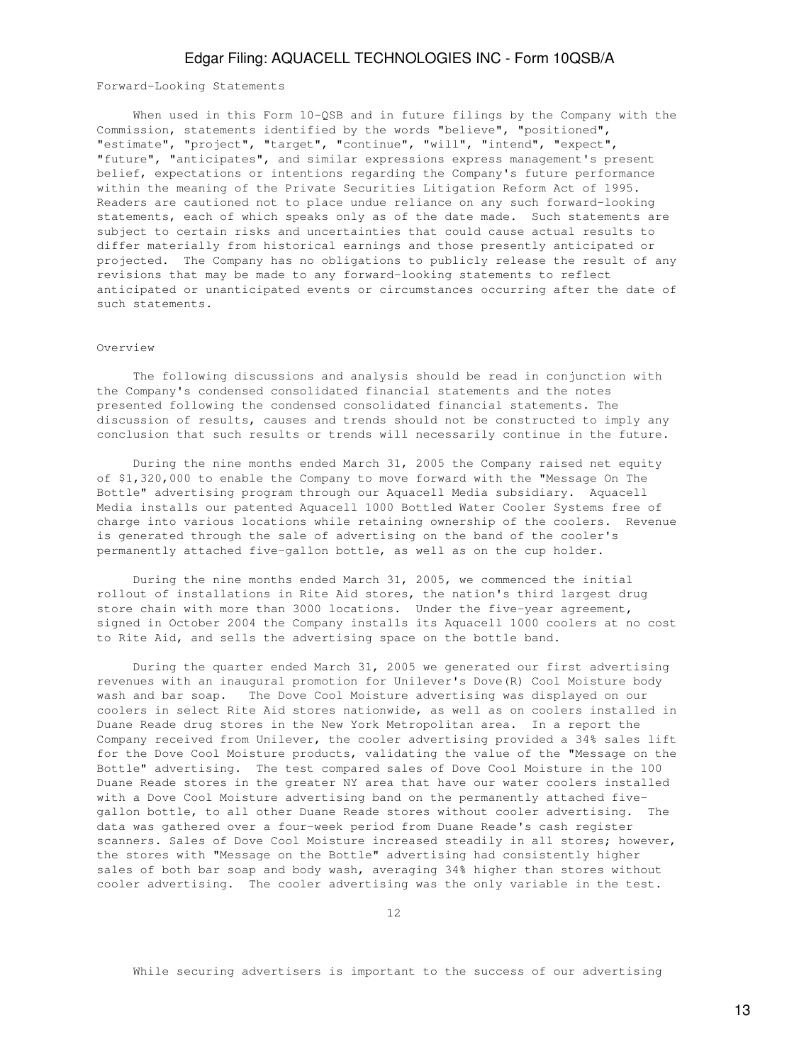Forward-Looking Statements

When used in this Form 10-QSB and in future filings by the Company with the Commission, statements identified by the words "believe", "positioned", "estimate", "project", "target", "continue", "will", "intend", "expect", "future", "anticipates", and similar expressions express management's present belief, expectations or intentions regarding the Company's future performance within the meaning of the Private Securities Litigation Reform Act of 1995. Readers are cautioned not to place undue reliance on any such forward-looking statements, each of which speaks only as of the date made. Such statements are subject to certain risks and uncertainties that could cause actual results to differ materially from historical earnings and those presently anticipated or projected. The Company has no obligations to publicly release the result of any revisions that may be made to any forward-looking statements to reflect anticipated or unanticipated events or circumstances occurring after the date of such statements.

#### Overview

 The following discussions and analysis should be read in conjunction with the Company's condensed consolidated financial statements and the notes presented following the condensed consolidated financial statements. The discussion of results, causes and trends should not be constructed to imply any conclusion that such results or trends will necessarily continue in the future.

 During the nine months ended March 31, 2005 the Company raised net equity of \$1,320,000 to enable the Company to move forward with the "Message On The Bottle" advertising program through our Aquacell Media subsidiary. Aquacell Media installs our patented Aquacell 1000 Bottled Water Cooler Systems free of charge into various locations while retaining ownership of the coolers. Revenue is generated through the sale of advertising on the band of the cooler's permanently attached five-gallon bottle, as well as on the cup holder.

 During the nine months ended March 31, 2005, we commenced the initial rollout of installations in Rite Aid stores, the nation's third largest drug store chain with more than 3000 locations. Under the five-year agreement, signed in October 2004 the Company installs its Aquacell 1000 coolers at no cost to Rite Aid, and sells the advertising space on the bottle band.

 During the quarter ended March 31, 2005 we generated our first advertising revenues with an inaugural promotion for Unilever's Dove(R) Cool Moisture body wash and bar soap. The Dove Cool Moisture advertising was displayed on our coolers in select Rite Aid stores nationwide, as well as on coolers installed in Duane Reade drug stores in the New York Metropolitan area. In a report the Company received from Unilever, the cooler advertising provided a 34% sales lift for the Dove Cool Moisture products, validating the value of the "Message on the Bottle" advertising. The test compared sales of Dove Cool Moisture in the 100 Duane Reade stores in the greater NY area that have our water coolers installed with a Dove Cool Moisture advertising band on the permanently attached fivegallon bottle, to all other Duane Reade stores without cooler advertising. The data was gathered over a four-week period from Duane Reade's cash register scanners. Sales of Dove Cool Moisture increased steadily in all stores; however, the stores with "Message on the Bottle" advertising had consistently higher sales of both bar soap and body wash, averaging 34% higher than stores without cooler advertising. The cooler advertising was the only variable in the test.

12

While securing advertisers is important to the success of our advertising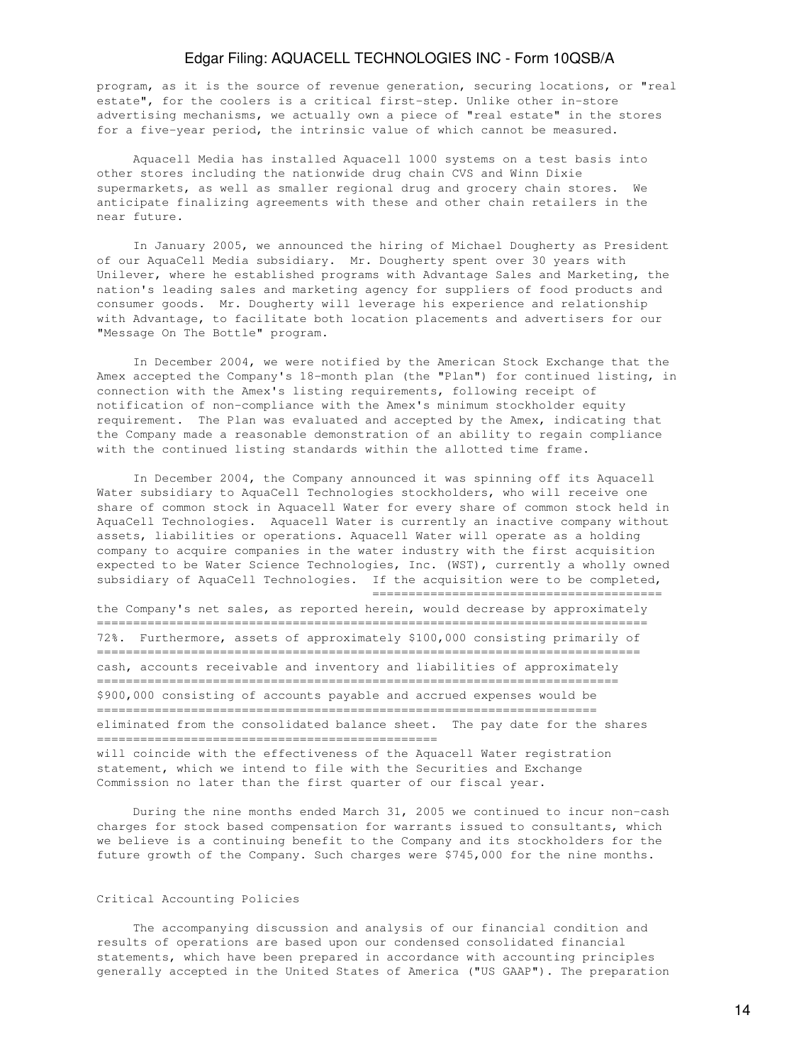program, as it is the source of revenue generation, securing locations, or "real estate", for the coolers is a critical first-step. Unlike other in-store advertising mechanisms, we actually own a piece of "real estate" in the stores for a five-year period, the intrinsic value of which cannot be measured.

 Aquacell Media has installed Aquacell 1000 systems on a test basis into other stores including the nationwide drug chain CVS and Winn Dixie supermarkets, as well as smaller regional drug and grocery chain stores. We anticipate finalizing agreements with these and other chain retailers in the near future.

 In January 2005, we announced the hiring of Michael Dougherty as President of our AquaCell Media subsidiary. Mr. Dougherty spent over 30 years with Unilever, where he established programs with Advantage Sales and Marketing, the nation's leading sales and marketing agency for suppliers of food products and consumer goods. Mr. Dougherty will leverage his experience and relationship with Advantage, to facilitate both location placements and advertisers for our "Message On The Bottle" program.

 In December 2004, we were notified by the American Stock Exchange that the Amex accepted the Company's 18-month plan (the "Plan") for continued listing, in connection with the Amex's listing requirements, following receipt of notification of non-compliance with the Amex's minimum stockholder equity requirement. The Plan was evaluated and accepted by the Amex, indicating that the Company made a reasonable demonstration of an ability to regain compliance with the continued listing standards within the allotted time frame.

 In December 2004, the Company announced it was spinning off its Aquacell Water subsidiary to AquaCell Technologies stockholders, who will receive one share of common stock in Aquacell Water for every share of common stock held in AquaCell Technologies. Aquacell Water is currently an inactive company without assets, liabilities or operations. Aquacell Water will operate as a holding company to acquire companies in the water industry with the first acquisition expected to be Water Science Technologies, Inc. (WST), currently a wholly owned subsidiary of AquaCell Technologies. If the acquisition were to be completed, ======================================== the Company's net sales, as reported herein, would decrease by approximately ============================================================================ 72%. Furthermore, assets of approximately \$100,000 consisting primarily of =========================================================================== cash, accounts receivable and inventory and liabilities of approximately

======================================================================== \$900,000 consisting of accounts payable and accrued expenses would be ===================================================================== eliminated from the consolidated balance sheet. The pay date for the shares ===============================================

will coincide with the effectiveness of the Aquacell Water registration statement, which we intend to file with the Securities and Exchange Commission no later than the first quarter of our fiscal year.

 During the nine months ended March 31, 2005 we continued to incur non-cash charges for stock based compensation for warrants issued to consultants, which we believe is a continuing benefit to the Company and its stockholders for the future growth of the Company. Such charges were \$745,000 for the nine months.

### Critical Accounting Policies

 The accompanying discussion and analysis of our financial condition and results of operations are based upon our condensed consolidated financial statements, which have been prepared in accordance with accounting principles generally accepted in the United States of America ("US GAAP"). The preparation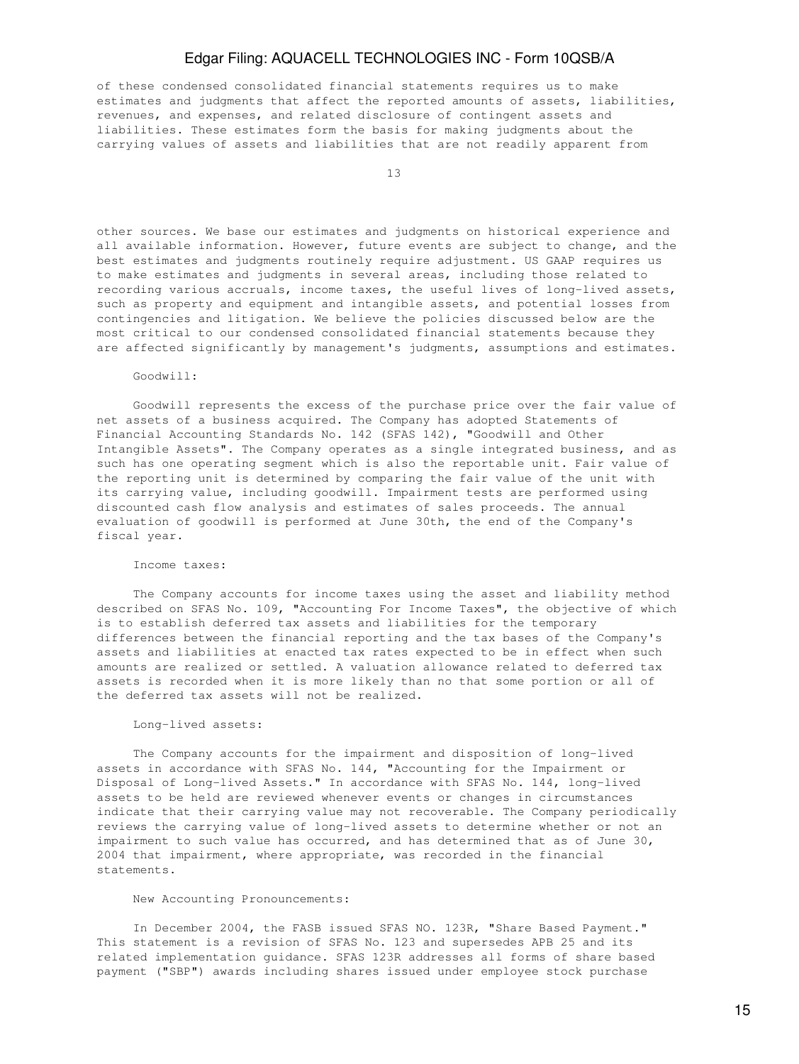of these condensed consolidated financial statements requires us to make estimates and judgments that affect the reported amounts of assets, liabilities, revenues, and expenses, and related disclosure of contingent assets and liabilities. These estimates form the basis for making judgments about the carrying values of assets and liabilities that are not readily apparent from

13

other sources. We base our estimates and judgments on historical experience and all available information. However, future events are subject to change, and the best estimates and judgments routinely require adjustment. US GAAP requires us to make estimates and judgments in several areas, including those related to recording various accruals, income taxes, the useful lives of long-lived assets, such as property and equipment and intangible assets, and potential losses from contingencies and litigation. We believe the policies discussed below are the most critical to our condensed consolidated financial statements because they are affected significantly by management's judgments, assumptions and estimates.

Goodwill:

 Goodwill represents the excess of the purchase price over the fair value of net assets of a business acquired. The Company has adopted Statements of Financial Accounting Standards No. 142 (SFAS 142), "Goodwill and Other Intangible Assets". The Company operates as a single integrated business, and as such has one operating segment which is also the reportable unit. Fair value of the reporting unit is determined by comparing the fair value of the unit with its carrying value, including goodwill. Impairment tests are performed using discounted cash flow analysis and estimates of sales proceeds. The annual evaluation of goodwill is performed at June 30th, the end of the Company's fiscal year.

#### Income taxes:

 The Company accounts for income taxes using the asset and liability method described on SFAS No. 109, "Accounting For Income Taxes", the objective of which is to establish deferred tax assets and liabilities for the temporary differences between the financial reporting and the tax bases of the Company's assets and liabilities at enacted tax rates expected to be in effect when such amounts are realized or settled. A valuation allowance related to deferred tax assets is recorded when it is more likely than no that some portion or all of the deferred tax assets will not be realized.

#### Long-lived assets:

 The Company accounts for the impairment and disposition of long-lived assets in accordance with SFAS No. 144, "Accounting for the Impairment or Disposal of Long-lived Assets." In accordance with SFAS No. 144, long-lived assets to be held are reviewed whenever events or changes in circumstances indicate that their carrying value may not recoverable. The Company periodically reviews the carrying value of long-lived assets to determine whether or not an impairment to such value has occurred, and has determined that as of June 30, 2004 that impairment, where appropriate, was recorded in the financial statements.

#### New Accounting Pronouncements:

 In December 2004, the FASB issued SFAS NO. 123R, "Share Based Payment." This statement is a revision of SFAS No. 123 and supersedes APB 25 and its related implementation guidance. SFAS 123R addresses all forms of share based payment ("SBP") awards including shares issued under employee stock purchase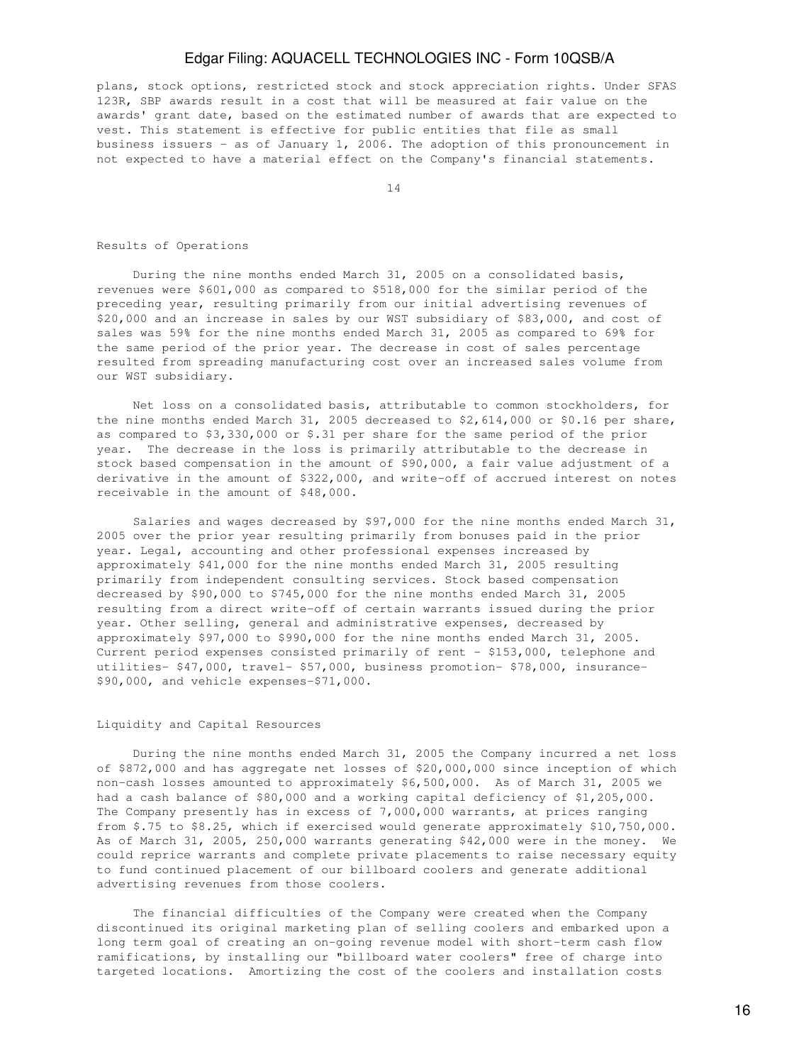plans, stock options, restricted stock and stock appreciation rights. Under SFAS 123R, SBP awards result in a cost that will be measured at fair value on the awards' grant date, based on the estimated number of awards that are expected to vest. This statement is effective for public entities that file as small business issuers - as of January 1, 2006. The adoption of this pronouncement in not expected to have a material effect on the Company's financial statements.

14

#### Results of Operations

 During the nine months ended March 31, 2005 on a consolidated basis, revenues were \$601,000 as compared to \$518,000 for the similar period of the preceding year, resulting primarily from our initial advertising revenues of \$20,000 and an increase in sales by our WST subsidiary of \$83,000, and cost of sales was 59% for the nine months ended March 31, 2005 as compared to 69% for the same period of the prior year. The decrease in cost of sales percentage resulted from spreading manufacturing cost over an increased sales volume from our WST subsidiary.

 Net loss on a consolidated basis, attributable to common stockholders, for the nine months ended March 31, 2005 decreased to \$2,614,000 or \$0.16 per share, as compared to \$3,330,000 or \$.31 per share for the same period of the prior year. The decrease in the loss is primarily attributable to the decrease in stock based compensation in the amount of \$90,000, a fair value adjustment of a derivative in the amount of \$322,000, and write-off of accrued interest on notes receivable in the amount of \$48,000.

 Salaries and wages decreased by \$97,000 for the nine months ended March 31, 2005 over the prior year resulting primarily from bonuses paid in the prior year. Legal, accounting and other professional expenses increased by approximately \$41,000 for the nine months ended March 31, 2005 resulting primarily from independent consulting services. Stock based compensation decreased by \$90,000 to \$745,000 for the nine months ended March 31, 2005 resulting from a direct write-off of certain warrants issued during the prior year. Other selling, general and administrative expenses, decreased by approximately \$97,000 to \$990,000 for the nine months ended March 31, 2005. Current period expenses consisted primarily of rent - \$153,000, telephone and utilities- \$47,000, travel- \$57,000, business promotion- \$78,000, insurance- \$90,000, and vehicle expenses-\$71,000.

#### Liquidity and Capital Resources

 During the nine months ended March 31, 2005 the Company incurred a net loss of \$872,000 and has aggregate net losses of \$20,000,000 since inception of which non-cash losses amounted to approximately \$6,500,000. As of March 31, 2005 we had a cash balance of \$80,000 and a working capital deficiency of \$1,205,000. The Company presently has in excess of 7,000,000 warrants, at prices ranging from \$.75 to \$8.25, which if exercised would generate approximately \$10,750,000. As of March 31, 2005, 250,000 warrants generating \$42,000 were in the money. We could reprice warrants and complete private placements to raise necessary equity to fund continued placement of our billboard coolers and generate additional advertising revenues from those coolers.

 The financial difficulties of the Company were created when the Company discontinued its original marketing plan of selling coolers and embarked upon a long term goal of creating an on-going revenue model with short-term cash flow ramifications, by installing our "billboard water coolers" free of charge into targeted locations. Amortizing the cost of the coolers and installation costs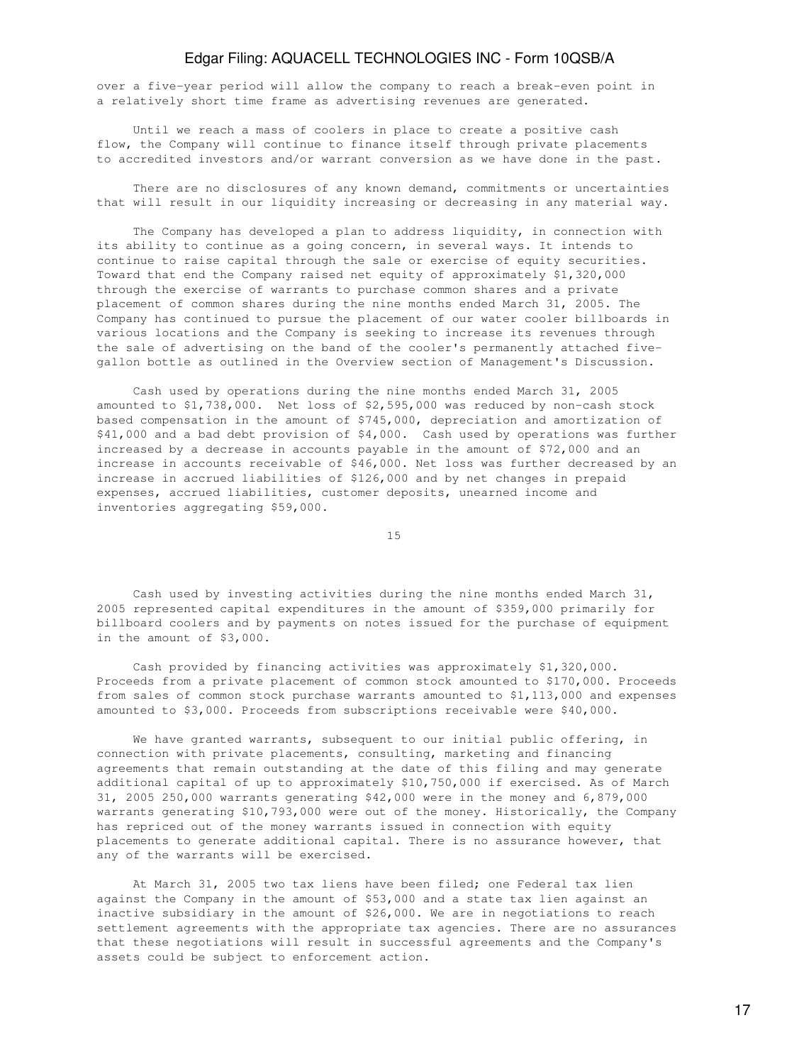over a five-year period will allow the company to reach a break-even point in a relatively short time frame as advertising revenues are generated.

 Until we reach a mass of coolers in place to create a positive cash flow, the Company will continue to finance itself through private placements to accredited investors and/or warrant conversion as we have done in the past.

 There are no disclosures of any known demand, commitments or uncertainties that will result in our liquidity increasing or decreasing in any material way.

 The Company has developed a plan to address liquidity, in connection with its ability to continue as a going concern, in several ways. It intends to continue to raise capital through the sale or exercise of equity securities. Toward that end the Company raised net equity of approximately \$1,320,000 through the exercise of warrants to purchase common shares and a private placement of common shares during the nine months ended March 31, 2005. The Company has continued to pursue the placement of our water cooler billboards in various locations and the Company is seeking to increase its revenues through the sale of advertising on the band of the cooler's permanently attached fivegallon bottle as outlined in the Overview section of Management's Discussion.

 Cash used by operations during the nine months ended March 31, 2005 amounted to \$1,738,000. Net loss of \$2,595,000 was reduced by non-cash stock based compensation in the amount of \$745,000, depreciation and amortization of \$41,000 and a bad debt provision of \$4,000. Cash used by operations was further increased by a decrease in accounts payable in the amount of \$72,000 and an increase in accounts receivable of \$46,000. Net loss was further decreased by an increase in accrued liabilities of \$126,000 and by net changes in prepaid expenses, accrued liabilities, customer deposits, unearned income and inventories aggregating \$59,000.

15

 Cash used by investing activities during the nine months ended March 31, 2005 represented capital expenditures in the amount of \$359,000 primarily for billboard coolers and by payments on notes issued for the purchase of equipment in the amount of \$3,000.

 Cash provided by financing activities was approximately \$1,320,000. Proceeds from a private placement of common stock amounted to \$170,000. Proceeds from sales of common stock purchase warrants amounted to \$1,113,000 and expenses amounted to \$3,000. Proceeds from subscriptions receivable were \$40,000.

 We have granted warrants, subsequent to our initial public offering, in connection with private placements, consulting, marketing and financing agreements that remain outstanding at the date of this filing and may generate additional capital of up to approximately \$10,750,000 if exercised. As of March 31, 2005 250,000 warrants generating \$42,000 were in the money and 6,879,000 warrants generating \$10,793,000 were out of the money. Historically, the Company has repriced out of the money warrants issued in connection with equity placements to generate additional capital. There is no assurance however, that any of the warrants will be exercised.

 At March 31, 2005 two tax liens have been filed; one Federal tax lien against the Company in the amount of \$53,000 and a state tax lien against an inactive subsidiary in the amount of \$26,000. We are in negotiations to reach settlement agreements with the appropriate tax agencies. There are no assurances that these negotiations will result in successful agreements and the Company's assets could be subject to enforcement action.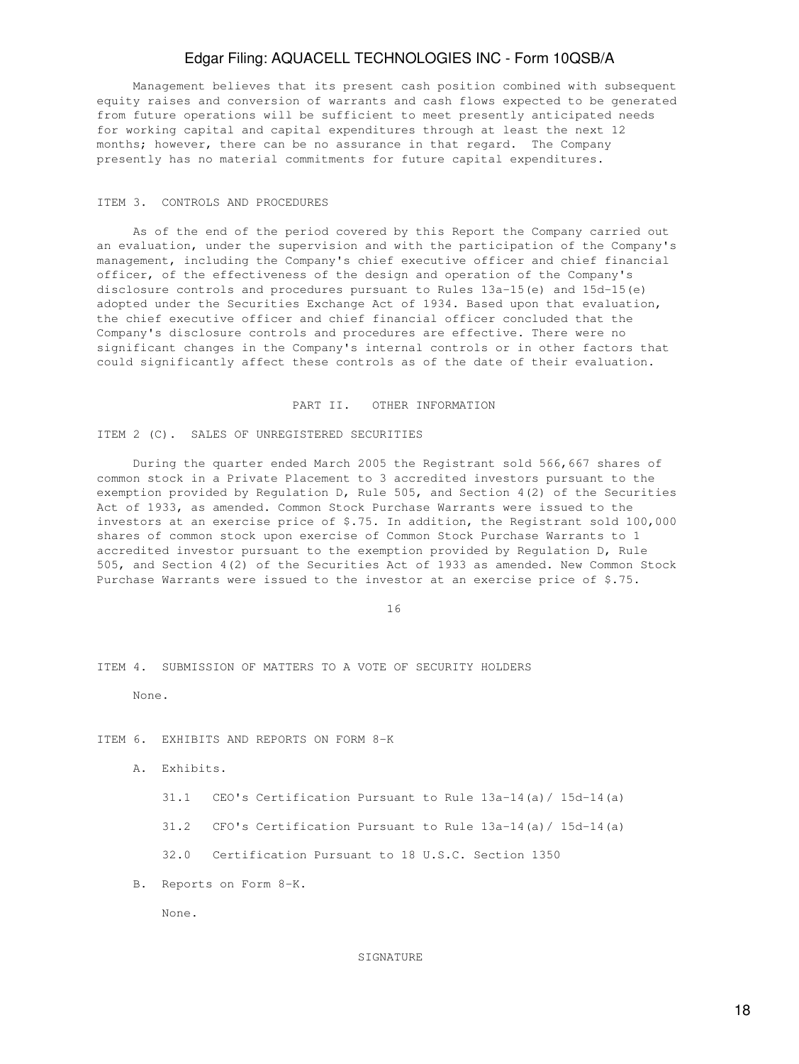Management believes that its present cash position combined with subsequent equity raises and conversion of warrants and cash flows expected to be generated from future operations will be sufficient to meet presently anticipated needs for working capital and capital expenditures through at least the next 12 months; however, there can be no assurance in that regard. The Company presently has no material commitments for future capital expenditures.

### ITEM 3. CONTROLS AND PROCEDURES

 As of the end of the period covered by this Report the Company carried out an evaluation, under the supervision and with the participation of the Company's management, including the Company's chief executive officer and chief financial officer, of the effectiveness of the design and operation of the Company's disclosure controls and procedures pursuant to Rules 13a-15(e) and 15d-15(e) adopted under the Securities Exchange Act of 1934. Based upon that evaluation, the chief executive officer and chief financial officer concluded that the Company's disclosure controls and procedures are effective. There were no significant changes in the Company's internal controls or in other factors that could significantly affect these controls as of the date of their evaluation.

### PART II. OTHER INFORMATION

### ITEM 2 (C). SALES OF UNREGISTERED SECURITIES

 During the quarter ended March 2005 the Registrant sold 566,667 shares of common stock in a Private Placement to 3 accredited investors pursuant to the exemption provided by Regulation D, Rule 505, and Section 4(2) of the Securities Act of 1933, as amended. Common Stock Purchase Warrants were issued to the investors at an exercise price of \$.75. In addition, the Registrant sold 100,000 shares of common stock upon exercise of Common Stock Purchase Warrants to 1 accredited investor pursuant to the exemption provided by Regulation D, Rule 505, and Section 4(2) of the Securities Act of 1933 as amended. New Common Stock Purchase Warrants were issued to the investor at an exercise price of \$.75.

16

### ITEM 4. SUBMISSION OF MATTERS TO A VOTE OF SECURITY HOLDERS

None.

### ITEM 6. EXHIBITS AND REPORTS ON FORM 8-K

A. Exhibits.

31.1 CEO's Certification Pursuant to Rule 13a-14(a)/ 15d-14(a)

31.2 CFO's Certification Pursuant to Rule 13a-14(a)/ 15d-14(a)

32.0 Certification Pursuant to 18 U.S.C. Section 1350

B. Reports on Form 8-K.

None.

#### **SIGNATURE**